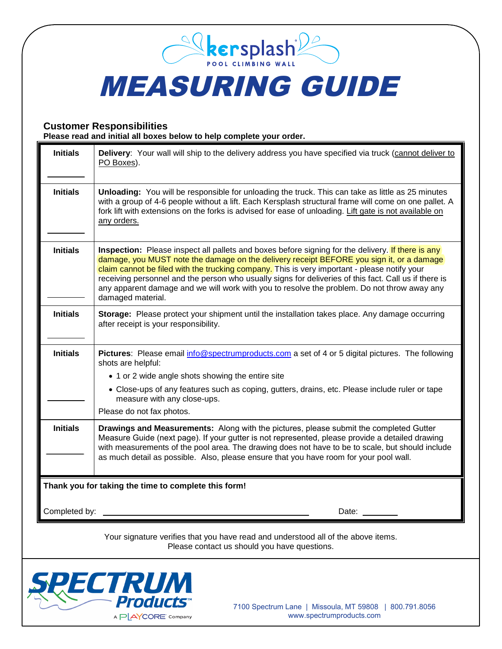## MEASURING GUIDE

*<u>Solkersplash*</u>

## **Customer Responsibilities Please read and initial all boxes below to help complete your order.**

| <b>Initials</b>                                                                                                                   | Delivery: Your wall will ship to the delivery address you have specified via truck (cannot deliver to<br>PO Boxes).                                                                                                                                                                                                                                                                                                                                                                                                        |
|-----------------------------------------------------------------------------------------------------------------------------------|----------------------------------------------------------------------------------------------------------------------------------------------------------------------------------------------------------------------------------------------------------------------------------------------------------------------------------------------------------------------------------------------------------------------------------------------------------------------------------------------------------------------------|
| <b>Initials</b>                                                                                                                   | Unloading: You will be responsible for unloading the truck. This can take as little as 25 minutes<br>with a group of 4-6 people without a lift. Each Kersplash structural frame will come on one pallet. A<br>fork lift with extensions on the forks is advised for ease of unloading. Lift gate is not available on<br>any orders.                                                                                                                                                                                        |
| <b>Initials</b>                                                                                                                   | Inspection: Please inspect all pallets and boxes before signing for the delivery. If there is any<br>damage, you MUST note the damage on the delivery receipt BEFORE you sign it, or a damage<br>claim cannot be filed with the trucking company. This is very important - please notify your<br>receiving personnel and the person who usually signs for deliveries of this fact. Call us if there is<br>any apparent damage and we will work with you to resolve the problem. Do not throw away any<br>damaged material. |
| <b>Initials</b>                                                                                                                   | Storage: Please protect your shipment until the installation takes place. Any damage occurring<br>after receipt is your responsibility.                                                                                                                                                                                                                                                                                                                                                                                    |
| <b>Initials</b>                                                                                                                   | Pictures: Please email info@spectrumproducts.com a set of 4 or 5 digital pictures. The following<br>shots are helpful:                                                                                                                                                                                                                                                                                                                                                                                                     |
|                                                                                                                                   | • 1 or 2 wide angle shots showing the entire site                                                                                                                                                                                                                                                                                                                                                                                                                                                                          |
|                                                                                                                                   | • Close-ups of any features such as coping, gutters, drains, etc. Please include ruler or tape<br>measure with any close-ups.                                                                                                                                                                                                                                                                                                                                                                                              |
|                                                                                                                                   | Please do not fax photos.                                                                                                                                                                                                                                                                                                                                                                                                                                                                                                  |
| <b>Initials</b>                                                                                                                   | Drawings and Measurements: Along with the pictures, please submit the completed Gutter<br>Measure Guide (next page). If your gutter is not represented, please provide a detailed drawing<br>with measurements of the pool area. The drawing does not have to be to scale, but should include<br>as much detail as possible. Also, please ensure that you have room for your pool wall.                                                                                                                                    |
| Thank you for taking the time to complete this form!                                                                              |                                                                                                                                                                                                                                                                                                                                                                                                                                                                                                                            |
|                                                                                                                                   |                                                                                                                                                                                                                                                                                                                                                                                                                                                                                                                            |
| Completed by:                                                                                                                     | Date:                                                                                                                                                                                                                                                                                                                                                                                                                                                                                                                      |
| Your signature verifies that you have read and understood all of the above items.<br>Please contact us should you have questions. |                                                                                                                                                                                                                                                                                                                                                                                                                                                                                                                            |